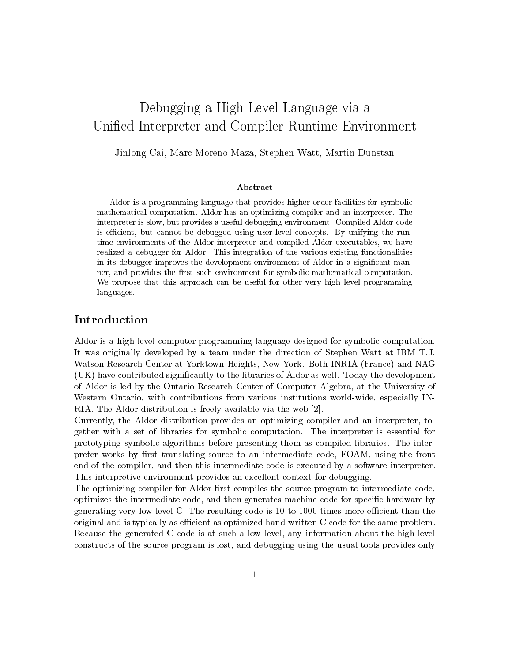# Debugging a High Level Language via a Unified Interpreter and Compiler Runtime Environment

Jinlong Cai, Marc Moreno Maza, Stephen Watt, Martin Dunstan

### Abstract

Aldor is a programming language that provides higher-order facilities for symbolic mathematical computation. Aldor has an optimizing compiler and an interpreter. The interpreter is slow, but provides a useful debugging environment. Compiled Aldor code is efficient, but cannot be debugged using user-level concepts. By unifying the runtime environments of the Aldor interpreter and compiled Aldor executables, we have realized a debugger for Aldor. This integration of the various existing functionalities in its debugger improves the development environment of Aldor in a significant manner, and provides the first such environment for symbolic mathematical computation. We propose that this approach can be useful for other very high level programming languages.

# Introduction

Aldor is a high-level computer programming language designed for symbolic computation. It was originally developed by a team under the direction of Stephen Watt at IBM T.J. Watson Research Center at Yorktown Heights, New York. Both INRIA (France) and NAG (UK) have contributed significantly to the libraries of Aldor as well. Today the development of Aldor is led by the Ontario Research Center of Computer Algebra, at the University of Western Ontario, with contributions from various institutions world-wide, especially IN-RIA. The Aldor distribution is freely available via the web [2].

Currently, the Aldor distribution provides an optimizing compiler and an interpreter, together with a set of libraries for symbolic computation. The interpreter is essential for prototyping symbolic algorithms before presenting them as compiled libraries. The interpreter works by first translating source to an intermediate code, FOAM, using the front end of the compiler, and then this intermediate code is executed by a software interpreter. This interpretive environment provides an excellent context for debugging.

The optimizing compiler for Aldor first compiles the source program to intermediate code, optimizes the intermediate code, and then generates machine code for specific hardware by generating very low-level C. The resulting code is 10 to 1000 times more efficient than the original and is typically as efficient as optimized hand-written C code for the same problem. Because the generated C code is at such a low level, any information about the high-level constructs of the source program is lost, and debugging using the usual tools provides only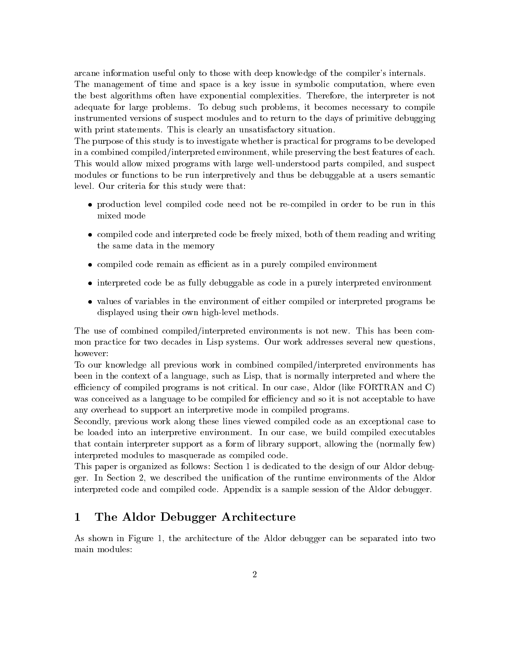arcane information useful only to those with deep knowledge of the compiler's internals.

The management of time and space is a key issue in symbolic computation, where even the best algorithms often have exponential complexities. Therefore, the interpreter is not adequate for large problems. To debug such problems, it becomes necessary to compile instrumented versions of suspect modules and to return to the days of primitive debugging with print statements. This is clearly an unsatisfactory situation.

The purpose of this study is to investigate whether is practical for programs to be developed in a combined compiled/interpreted environment, while preserving the best features of each. This would allow mixed programs with large well-understood parts compiled, and suspect modules or functions to be run interpretively and thus be debuggable at a users semantic level. Our criteria for this study were that:

- production level compiled code need not be re-compiled in order to be run in this mixed mode
- compiled code and interpreted code be freely mixed, both of them reading and writing the same data in the memory
- compiled code remain as efficient as in a purely compiled environment
- interpreted code be as fully debuggable as code in a purely interpreted environment
- values of variables in the environment of either compiled or interpreted programs be displayed using their own high-level methods.

The use of combined compiled/interpreted environments is not new. This has been common practice for two decades in Lisp systems. Our work addresses several new questions, however:

To our knowledge all previous work in combined compiled/interpreted environments has been in the context of a language, such as Lisp, that is normally interpreted and where the efficiency of compiled programs is not critical. In our case, Aldor (like FORTRAN and C) was conceived as a language to be compiled for efficiency and so it is not acceptable to have any overhead to support an interpretive mode in compiled programs.

Secondly, previous work along these lines viewed compiled code as an exceptional case to be loaded into an interpretive environment. In our case, we build compiled executables that contain interpreter support as a form of library support, allowing the (normally few) interpreted modules to masquerade as compiled code.

This paper is organized as follows: Section 1 is dedicated to the design of our Aldor debugger. In Section 2, we described the unification of the runtime environments of the Aldor interpreted code and compiled code. Appendix is a sample session of the Aldor debugger.

#### 1 The Aldor Debugger Architecture

As shown in Figure 1, the architecture of the Aldor debugger can be separated into two main modules: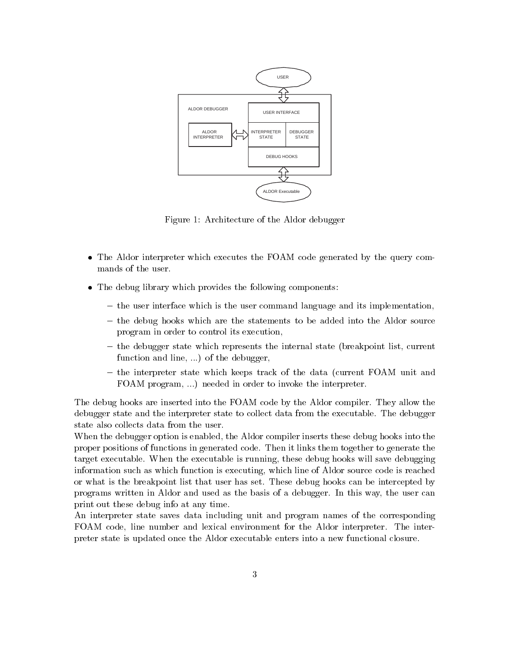

Figure 1: Architecture of the Aldor debugger

- The Aldor interpreter which executes the FOAM code generated by the query commands of the user.
- The debug library which provides the following components:
	- the user interface which is the user command language and its implementation,
	- the debug hooks which are the statements to be added into the Aldor source program in order to control its execution,
	- the debugger state which represents the internal state (breakpoint list, current function and line, ...) of the debugger,
	- the interpreter state which keeps track of the data (current FOAM unit and FOAM program, ...) needed in order to invoke the interpreter.

The debug hooks are inserted into the FOAM code by the Aldor compiler. They allow the debugger state and the interpreter state to collect data from the executable. The debugger state also collects data from the user.

When the debugger option is enabled, the Aldor compiler inserts these debug hooks into the proper positions of functions in generated code. Then it links them together to generate the target executable. When the executable is running, these debug hooks will save debugging information such as which function is executing, which line of Aldor source code is reached or what is the breakpoint list that user has set. These debug hooks can be intercepted by programs written in Aldor and used as the basis of a debugger. In this way, the user can print out these debug into at any time.

An interpreter state saves data including unit and program names of the corresponding FOAM code, line number and lexical environment for the Aldor interpreter. The interpreter state is updated once the Aldor executable enters into a new functional closure.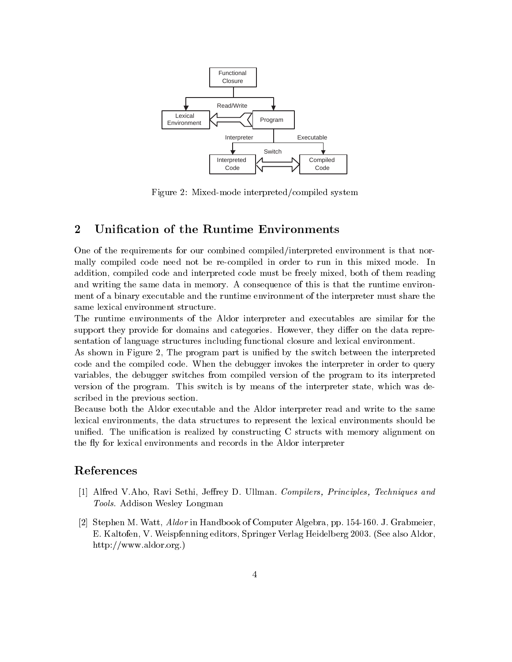

Figure 2: Mixed-mode interpreted/compiled system

#### $\overline{2}$ Unification of the Runtime Environments

One of the requirements for our combined compiled/interpreted environment is that normally compiled code need not be re-compiled in order to run in this mixed mode. In addition, compiled code and interpreted code must be freely mixed, both of them reading and writing the same data in memory. A consequence of this is that the runtime environment of a binary executable and the runtime environment of the interpreter must share the same lexical environment structure.

The runtime environments of the Aldor interpreter and executables are similar for the support they provide for domains and categories. However, they differ on the data representation of language structures including functional closure and lexical environment.

As shown in Figure 2, The program part is unified by the switch between the interpreted code and the compiled code. When the debugger invokes the interpreter in order to query variables, the debugger switches from compiled version of the program to its interpreted version of the program. This switch is by means of the interpreter state, which was described in the previous section.

Because both the Aldor executable and the Aldor interpreter read and write to the same lexical environments, the data structures to represent the lexical environments should be unified. The unification is realized by constructing C structs with memory alignment on the fly for lexical environments and records in the Aldor interpreter

# References

- [1] Alfred V.Aho, Ravi Sethi, Jeffrey D. Ullman. Compilers, Principles, Techniques and Tools. Addison Wesley Longman
- [2] Stephen M. Watt, *Aldor* in Handbook of Computer Algebra, pp. 154-160. J. Grabmeier, E. Kaltofen, V. Weispfenning editors, Springer Verlag Heidelberg 2003. (See also Aldor,  $\frac{http://www.aldor.org.)}{}$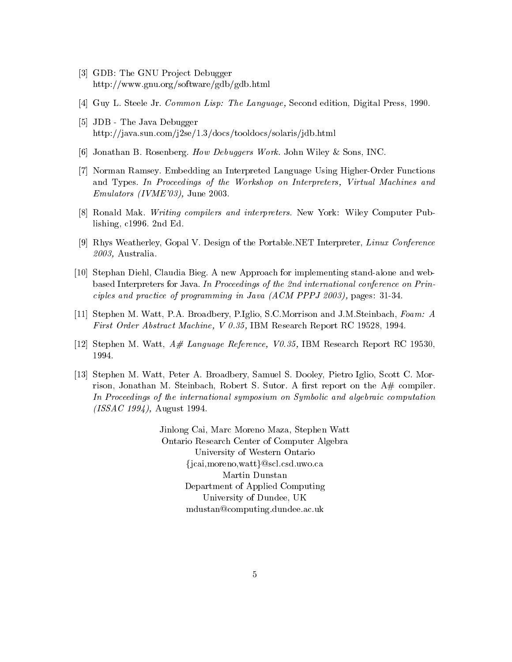- [3] GDB: The GNU Project Debugger http://www.gnu.org/software/gdb/gdb.html
- [4] Guy L. Steele Jr. Common Lisp: The Language, Second edition, Digital Press, 1990.
- [5] JDB The Java Debugger http://java.sun.com/j2se/1.3/docs/tooldocs/solaris/jdb.html
- [6] Jonathan B. Rosenberg. How Debuggers Work. John Wiley & Sons, INC.
- [7] Norman Ramsey. Embedding an Interpreted Language Using Higher-Order Functions and Types. In Proceedings of the Workshop on Interpreters, Virtual Machines and *Emulators (IVME'03)*, June 2003.
- [8] Ronald Mak. Writing compilers and interpreters. New York: Wiley Computer Publishing,  $c1996$ . 2nd Ed.
- [9] Rhys Weatherley, Gopal V. Design of the Portable.NET Interpreter, Linux Conference  $2003$ , Australia.
- [10] Stephan Diehl, Claudia Bieg. A new Approach for implementing stand-alone and webbased Interpreters for Java. In Proceedings of the 2nd international conference on Principles and practice of programming in Java (ACM PPPJ 2003), pages: 31-34.
- [11] Stephen M. Watt, P.A. Broadbery, P.Iglio, S.C. Morrison and J.M. Steinbach, Foam: A First Order Abstract Machine, V 0.35, IBM Research Report RC 19528, 1994.
- [12] Stephen M. Watt,  $A#$  Language Reference, V0.35, IBM Research Report RC 19530, 1994.
- [13] Stephen M. Watt, Peter A. Broadbery, Samuel S. Dooley, Pietro Iglio, Scott C. Morrison, Jonathan M. Steinbach, Robert S. Sutor. A first report on the  $A#$  compiler. In Proceedings of the international symposium on Symbolic and algebraic computation  $(ISSAC 1994)$ , August 1994.

Jinlong Cai, Marc Moreno Maza, Stephen Watt Ontario Research Center of Computer Algebra University of Western Ontario {jcai, moreno, watt } @scl.csd.uwo.ca Martin Dunstan Department of Applied Computing University of Dundee, UK mdustan@computing.dundee.ac.uk